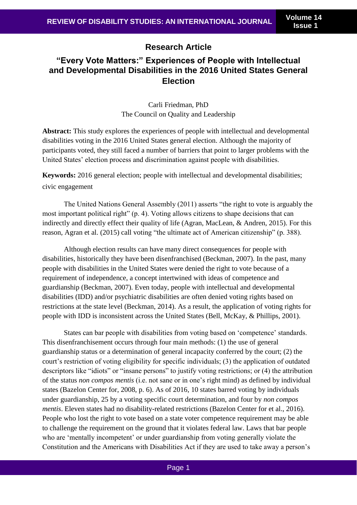## **Research Article**

# **"Every Vote Matters:" Experiences of People with Intellectual and Developmental Disabilities in the 2016 United States General Election**

Carli Friedman, PhD The Council on Quality and Leadership

**Abstract:** This study explores the experiences of people with intellectual and developmental disabilities voting in the 2016 United States general election. Although the majority of participants voted, they still faced a number of barriers that point to larger problems with the United States' election process and discrimination against people with disabilities.

**Keywords:** 2016 general election; people with intellectual and developmental disabilities; civic engagement

The United Nations General Assembly (2011) asserts "the right to vote is arguably the most important political right" (p. 4). Voting allows citizens to shape decisions that can indirectly and directly effect their quality of life (Agran, MacLean, & Andren, 2015). For this reason, Agran et al. (2015) call voting "the ultimate act of American citizenship" (p. 388).

Although election results can have many direct consequences for people with disabilities, historically they have been disenfranchised (Beckman, 2007). In the past, many people with disabilities in the United States were denied the right to vote because of a requirement of independence, a concept intertwined with ideas of competence and guardianship (Beckman, 2007). Even today, people with intellectual and developmental disabilities (IDD) and/or psychiatric disabilities are often denied voting rights based on restrictions at the state level (Beckman, 2014). As a result, the application of voting rights for people with IDD is inconsistent across the United States (Bell, McKay, & Phillips, 2001).

States can bar people with disabilities from voting based on 'competence' standards. This disenfranchisement occurs through four main methods: (1) the use of general guardianship status or a determination of general incapacity conferred by the court; (2) the court's restriction of voting eligibility for specific individuals; (3) the application of outdated descriptors like "idiots" or "insane persons" to justify voting restrictions; or (4) the attribution of the status *non compos mentis* (i.e. not sane or in one's right mind) as defined by individual states (Bazelon Center for, 2008, p. 6). As of 2016, 10 states barred voting by individuals under guardianship, 25 by a voting specific court determination, and four by *non compos mentis*. Eleven states had no disability-related restrictions (Bazelon Center for et al., 2016). People who lost the right to vote based on a state voter competence requirement may be able to challenge the requirement on the ground that it violates federal law. Laws that bar people who are 'mentally incompetent' or under guardianship from voting generally violate the Constitution and the Americans with Disabilities Act if they are used to take away a person's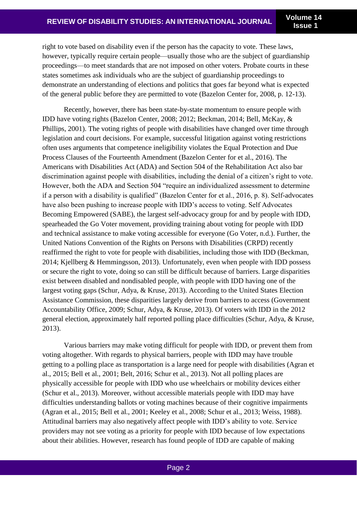right to vote based on disability even if the person has the capacity to vote. These laws, however, typically require certain people—usually those who are the subject of guardianship proceedings—to meet standards that are not imposed on other voters. Probate courts in these states sometimes ask individuals who are the subject of guardianship proceedings to demonstrate an understanding of elections and politics that goes far beyond what is expected of the general public before they are permitted to vote (Bazelon Center for, 2008, p. 12-13).

Recently, however, there has been state-by-state momentum to ensure people with IDD have voting rights (Bazelon Center, 2008; 2012; Beckman, 2014; Bell, McKay, & Phillips, 2001). The voting rights of people with disabilities have changed over time through legislation and court decisions. For example, successful litigation against voting restrictions often uses arguments that competence ineligibility violates the Equal Protection and Due Process Clauses of the Fourteenth Amendment (Bazelon Center for et al., 2016). The Americans with Disabilities Act (ADA) and Section 504 of the Rehabilitation Act also bar discrimination against people with disabilities, including the denial of a citizen's right to vote. However, both the ADA and Section 504 "require an individualized assessment to determine if a person with a disability is qualified" (Bazelon Center for et al., 2016, p. 8). Self-advocates have also been pushing to increase people with IDD's access to voting. Self Advocates Becoming Empowered (SABE), the largest self-advocacy group for and by people with IDD, spearheaded the Go Voter movement, providing training about voting for people with IDD and technical assistance to make voting accessible for everyone (Go Voter, n.d.). Further, the United Nations Convention of the Rights on Persons with Disabilities (CRPD) recently reaffirmed the right to vote for people with disabilities, including those with IDD (Beckman, 2014; Kjellberg & Hemmingsson, 2013). Unfortunately, even when people with IDD possess or secure the right to vote, doing so can still be difficult because of barriers. Large disparities exist between disabled and nondisabled people, with people with IDD having one of the largest voting gaps (Schur, Adya, & Kruse, 2013). According to the United States Election Assistance Commission, these disparities largely derive from barriers to access (Government Accountability Office, 2009; Schur, Adya, & Kruse, 2013). Of voters with IDD in the 2012 general election, approximately half reported polling place difficulties (Schur, Adya, & Kruse, 2013).

Various barriers may make voting difficult for people with IDD, or prevent them from voting altogether. With regards to physical barriers, people with IDD may have trouble getting to a polling place as transportation is a large need for people with disabilities (Agran et al., 2015; Bell et al., 2001; Belt, 2016; Schur et al., 2013). Not all polling places are physically accessible for people with IDD who use wheelchairs or mobility devices either (Schur et al., 2013). Moreover, without accessible materials people with IDD may have difficulties understanding ballots or voting machines because of their cognitive impairments (Agran et al., 2015; Bell et al., 2001; Keeley et al., 2008; Schur et al., 2013; Weiss, 1988). Attitudinal barriers may also negatively affect people with IDD's ability to vote. Service providers may not see voting as a priority for people with IDD because of low expectations about their abilities. However, research has found people of IDD are capable of making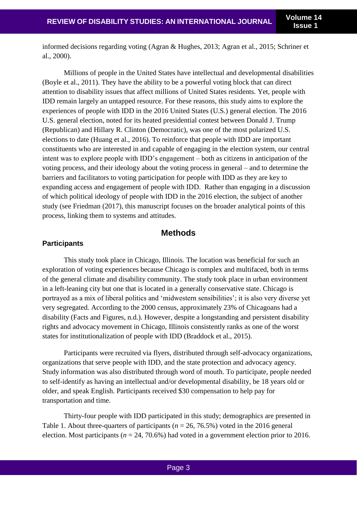informed decisions regarding voting (Agran & Hughes, 2013; Agran et al., 2015; Schriner et al., 2000).

Millions of people in the United States have intellectual and developmental disabilities (Boyle et al., 2011). They have the ability to be a powerful voting block that can direct attention to disability issues that affect millions of United States residents. Yet, people with IDD remain largely an untapped resource. For these reasons, this study aims to explore the experiences of people with IDD in the 2016 United States (U.S.) general election. The 2016 U.S. general election, noted for its heated presidential contest between Donald J. Trump (Republican) and Hillary R. Clinton (Democratic), was one of the most polarized U.S. elections to date (Huang et al., 2016). To reinforce that people with IDD are important constituents who are interested in and capable of engaging in the election system, our central intent was to explore people with IDD's engagement – both as citizens in anticipation of the voting process, and their ideology about the voting process in general – and to determine the barriers and facilitators to voting participation for people with IDD as they are key to expanding access and engagement of people with IDD. Rather than engaging in a discussion of which political ideology of people with IDD in the 2016 election, the subject of another study (see Friedman (2017), this manuscript focuses on the broader analytical points of this process, linking them to systems and attitudes.

### **Methods**

#### **Participants**

This study took place in Chicago, Illinois. The location was beneficial for such an exploration of voting experiences because Chicago is complex and multifaced, both in terms of the general climate and disability community. The study took place in urban environment in a left-leaning city but one that is located in a generally conservative state. Chicago is portrayed as a mix of liberal politics and 'midwestern sensibilities'; it is also very diverse yet very segregated. According to the 2000 census, approximately 23% of Chicagoans had a disability (Facts and Figures, n.d.). However, despite a longstanding and persistent disability rights and advocacy movement in Chicago, Illinois consistently ranks as one of the worst states for institutionalization of people with IDD (Braddock et al., 2015).

Participants were recruited via flyers, distributed through self-advocacy organizations, organizations that serve people with IDD, and the state protection and advocacy agency. Study information was also distributed through word of mouth. To participate, people needed to self-identify as having an intellectual and/or developmental disability, be 18 years old or older, and speak English. Participants received \$30 compensation to help pay for transportation and time.

Thirty-four people with IDD participated in this study; demographics are presented in Table 1. About three-quarters of participants ( $n = 26, 76.5\%$ ) voted in the 2016 general election. Most participants ( $n = 24, 70.6\%$ ) had voted in a government election prior to 2016.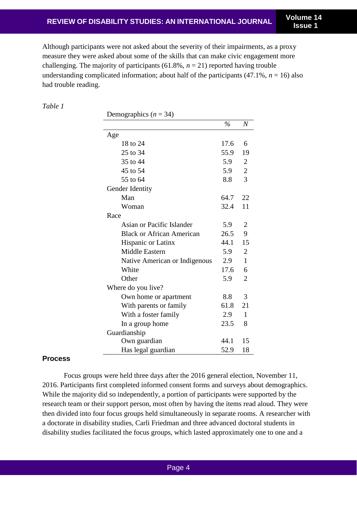Although participants were not asked about the severity of their impairments, as a proxy measure they were asked about some of the skills that can make civic engagement more challenging. The majority of participants  $(61.8\%, n = 21)$  reported having trouble understanding complicated information; about half of the participants  $(47.1\%, n = 16)$  also had trouble reading.

*Table 1*

Demographics  $(n = 34)$ 

|                                  | $\frac{0}{0}$ | $\boldsymbol{N}$ |
|----------------------------------|---------------|------------------|
| Age                              |               |                  |
| 18 to 24                         | 17.6          | 6                |
| 25 to 34                         | 55.9          | 19               |
| 35 to 44                         | 5.9           | $\boldsymbol{2}$ |
| 45 to 54                         | 5.9           | $\overline{c}$   |
| 55 to 64                         | 8.8           | 3                |
| Gender Identity                  |               |                  |
| Man                              | 64.7          | 22               |
| Woman                            | 32.4          | 11               |
| Race                             |               |                  |
| Asian or Pacific Islander        | 5.9           | 2                |
| <b>Black or African American</b> | 26.5          | 9                |
| Hispanic or Latinx               | 44.1          | 15               |
| <b>Middle Eastern</b>            | 5.9           | $\overline{2}$   |
| Native American or Indigenous    | 2.9           | 1                |
| White                            | 17.6          | 6                |
| Other                            | 5.9           | $\overline{2}$   |
| Where do you live?               |               |                  |
| Own home or apartment            | 8.8           | 3                |
| With parents or family           | 61.8          | 21               |
| With a foster family             | 2.9           | 1                |
| In a group home                  | 23.5          | 8                |
| Guardianship                     |               |                  |
| Own guardian                     | 44.1          | 15               |
| Has legal guardian               | 52.9          | 18               |

#### **Process**

Focus groups were held three days after the 2016 general election, November 11, 2016. Participants first completed informed consent forms and surveys about demographics. While the majority did so independently, a portion of participants were supported by the research team or their support person, most often by having the items read aloud. They were then divided into four focus groups held simultaneously in separate rooms. A researcher with a doctorate in disability studies, Carli Friedman and three advanced doctoral students in disability studies facilitated the focus groups, which lasted approximately one to one and a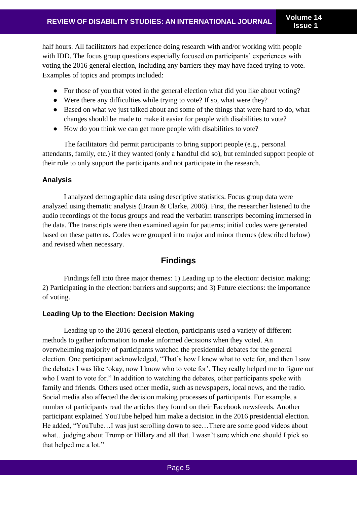half hours. All facilitators had experience doing research with and/or working with people with IDD. The focus group questions especially focused on participants' experiences with voting the 2016 general election, including any barriers they may have faced trying to vote. Examples of topics and prompts included:

- For those of you that voted in the general election what did you like about voting?
- Were there any difficulties while trying to vote? If so, what were they?
- Based on what we just talked about and some of the things that were hard to do, what changes should be made to make it easier for people with disabilities to vote?
- How do you think we can get more people with disabilities to vote?

The facilitators did permit participants to bring support people (e.g., personal attendants, family, etc.) if they wanted (only a handful did so), but reminded support people of their role to only support the participants and not participate in the research.

## **Analysis**

I analyzed demographic data using descriptive statistics. Focus group data were analyzed using thematic analysis (Braun & Clarke, 2006). First, the researcher listened to the audio recordings of the focus groups and read the verbatim transcripts becoming immersed in the data. The transcripts were then examined again for patterns; initial codes were generated based on these patterns. Codes were grouped into major and minor themes (described below) and revised when necessary.

# **Findings**

 Findings fell into three major themes: 1) Leading up to the election: decision making; 2) Participating in the election: barriers and supports; and 3) Future elections: the importance of voting.

## **Leading Up to the Election: Decision Making**

Leading up to the 2016 general election, participants used a variety of different methods to gather information to make informed decisions when they voted. An overwhelming majority of participants watched the presidential debates for the general election. One participant acknowledged, "That's how I knew what to vote for, and then I saw the debates I was like 'okay, now I know who to vote for'. They really helped me to figure out who I want to vote for." In addition to watching the debates, other participants spoke with family and friends. Others used other media, such as newspapers, local news, and the radio. Social media also affected the decision making processes of participants. For example, a number of participants read the articles they found on their Facebook newsfeeds. Another participant explained YouTube helped him make a decision in the 2016 presidential election. He added, "YouTube…I was just scrolling down to see…There are some good videos about what…judging about Trump or Hillary and all that. I wasn't sure which one should I pick so that helped me a lot."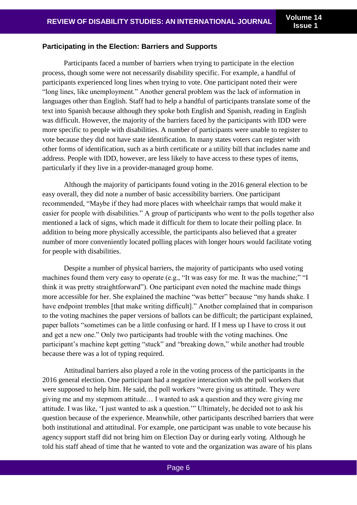#### **Participating in the Election: Barriers and Supports**

 Participants faced a number of barriers when trying to participate in the election process, though some were not necessarily disability specific. For example, a handful of participants experienced long lines when trying to vote. One participant noted their were "long lines, like unemployment." Another general problem was the lack of information in languages other than English. Staff had to help a handful of participants translate some of the text into Spanish because although they spoke both English and Spanish, reading in English was difficult. However, the majority of the barriers faced by the participants with IDD were more specific to people with disabilities. A number of participants were unable to register to vote because they did not have state identification. In many states voters can register with other forms of identification, such as a birth certificate or a utility bill that includes name and address. People with IDD, however, are less likely to have access to these types of items, particularly if they live in a provider-managed group home.

Although the majority of participants found voting in the 2016 general election to be easy overall, they did note a number of basic accessibility barriers. One participant recommended, "Maybe if they had more places with wheelchair ramps that would make it easier for people with disabilities." A group of participants who went to the polls together also mentioned a lack of signs, which made it difficult for them to locate their polling place. In addition to being more physically accessible, the participants also believed that a greater number of more conveniently located polling places with longer hours would facilitate voting for people with disabilities.

Despite a number of physical barriers, the majority of participants who used voting machines found them very easy to operate (e.g., "It was easy for me. It was the machine;" "I think it was pretty straightforward"). One participant even noted the machine made things more accessible for her. She explained the machine "was better" because "my hands shake. I have endpoint trembles [that make writing difficult]." Another complained that in comparison to the voting machines the paper versions of ballots can be difficult; the participant explained, paper ballots "sometimes can be a little confusing or hard. If I mess up I have to cross it out and get a new one." Only two participants had trouble with the voting machines. One participant's machine kept getting "stuck" and "breaking down," while another had trouble because there was a lot of typing required.

Attitudinal barriers also played a role in the voting process of the participants in the 2016 general election. One participant had a negative interaction with the poll workers that were supposed to help him. He said, the poll workers "were giving us attitude. They were giving me and my stepmom attitude… I wanted to ask a question and they were giving me attitude. I was like, 'I just wanted to ask a question.'" Ultimately, he decided not to ask his question because of the experience. Meanwhile, other participants described barriers that were both institutional and attitudinal. For example, one participant was unable to vote because his agency support staff did not bring him on Election Day or during early voting. Although he told his staff ahead of time that he wanted to vote and the organization was aware of his plans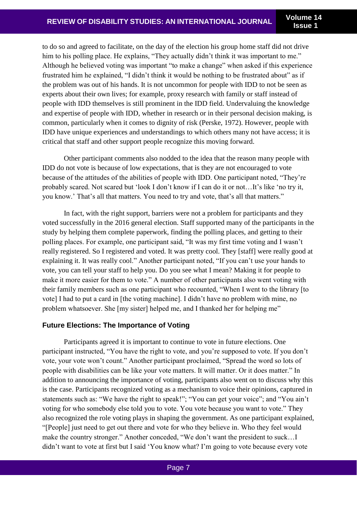to do so and agreed to facilitate, on the day of the election his group home staff did not drive him to his polling place. He explains, "They actually didn't think it was important to me." Although he believed voting was important "to make a change" when asked if this experience frustrated him he explained, "I didn't think it would be nothing to be frustrated about" as if the problem was out of his hands. It is not uncommon for people with IDD to not be seen as experts about their own lives; for example, proxy research with family or staff instead of people with IDD themselves is still prominent in the IDD field. Undervaluing the knowledge and expertise of people with IDD, whether in research or in their personal decision making, is common, particularly when it comes to dignity of risk (Perske, 1972). However, people with IDD have unique experiences and understandings to which others many not have access; it is critical that staff and other support people recognize this moving forward.

Other participant comments also nodded to the idea that the reason many people with IDD do not vote is because of low expectations, that is they are not encouraged to vote because of the attitudes of the abilities of people with IDD. One participant noted, "They're probably scared. Not scared but 'look I don't know if I can do it or not…It's like 'no try it, you know.' That's all that matters. You need to try and vote, that's all that matters."

In fact, with the right support, barriers were not a problem for participants and they voted successfully in the 2016 general election. Staff supported many of the participants in the study by helping them complete paperwork, finding the polling places, and getting to their polling places. For example, one participant said, "It was my first time voting and I wasn't really registered. So I registered and voted. It was pretty cool. They [staff] were really good at explaining it. It was really cool." Another participant noted, "If you can't use your hands to vote, you can tell your staff to help you. Do you see what I mean? Making it for people to make it more easier for them to vote." A number of other participants also went voting with their family members such as one participant who recounted, "When I went to the library [to vote] I had to put a card in [the voting machine]. I didn't have no problem with mine, no problem whatsoever. She [my sister] helped me, and I thanked her for helping me"

### **Future Elections: The Importance of Voting**

Participants agreed it is important to continue to vote in future elections. One participant instructed, "You have the right to vote, and you're supposed to vote. If you don't vote, your vote won't count." Another participant proclaimed, "Spread the word so lots of people with disabilities can be like your vote matters. It will matter. Or it does matter." In addition to announcing the importance of voting, participants also went on to discuss why this is the case. Participants recognized voting as a mechanism to voice their opinions, captured in statements such as: "We have the right to speak!"; "You can get your voice"; and "You ain't voting for who somebody else told you to vote. You vote because you want to vote." They also recognized the role voting plays in shaping the government. As one participant explained, "[People] just need to get out there and vote for who they believe in. Who they feel would make the country stronger." Another conceded, "We don't want the president to suck…I didn't want to vote at first but I said 'You know what? I'm going to vote because every vote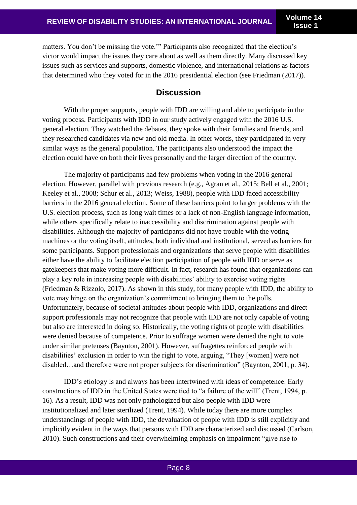matters. You don't be missing the vote.'" Participants also recognized that the election's victor would impact the issues they care about as well as them directly. Many discussed key issues such as services and supports, domestic violence, and international relations as factors that determined who they voted for in the 2016 presidential election (see Friedman (2017)).

## **Discussion**

With the proper supports, people with IDD are willing and able to participate in the voting process. Participants with IDD in our study actively engaged with the 2016 U.S. general election. They watched the debates, they spoke with their families and friends, and they researched candidates via new and old media. In other words, they participated in very similar ways as the general population. The participants also understood the impact the election could have on both their lives personally and the larger direction of the country.

 The majority of participants had few problems when voting in the 2016 general election. However, parallel with previous research (e.g., Agran et al., 2015; Bell et al., 2001; Keeley et al., 2008; Schur et al., 2013; Weiss, 1988), people with IDD faced accessibility barriers in the 2016 general election. Some of these barriers point to larger problems with the U.S. election process, such as long wait times or a lack of non-English language information, while others specifically relate to inaccessibility and discrimination against people with disabilities. Although the majority of participants did not have trouble with the voting machines or the voting itself, attitudes, both individual and institutional, served as barriers for some participants. Support professionals and organizations that serve people with disabilities either have the ability to facilitate election participation of people with IDD or serve as gatekeepers that make voting more difficult. In fact, research has found that organizations can play a key role in increasing people with disabilities' ability to exercise voting rights (Friedman & Rizzolo, 2017). As shown in this study, for many people with IDD, the ability to vote may hinge on the organization's commitment to bringing them to the polls. Unfortunately, because of societal attitudes about people with IDD, organizations and direct support professionals may not recognize that people with IDD are not only capable of voting but also are interested in doing so. Historically, the voting rights of people with disabilities were denied because of competence. Prior to suffrage women were denied the right to vote under similar pretenses (Baynton, 2001). However, suffragettes reinforced people with disabilities' exclusion in order to win the right to vote, arguing, "They [women] were not disabled…and therefore were not proper subjects for discrimination" (Baynton, 2001, p. 34).

IDD's etiology is and always has been intertwined with ideas of competence. Early constructions of IDD in the United States were tied to "a failure of the will" (Trent, 1994, p. 16). As a result, IDD was not only pathologized but also people with IDD were institutionalized and later sterilized (Trent, 1994). While today there are more complex understandings of people with IDD, the devaluation of people with IDD is still explicitly and implicitly evident in the ways that persons with IDD are characterized and discussed (Carlson, 2010). Such constructions and their overwhelming emphasis on impairment "give rise to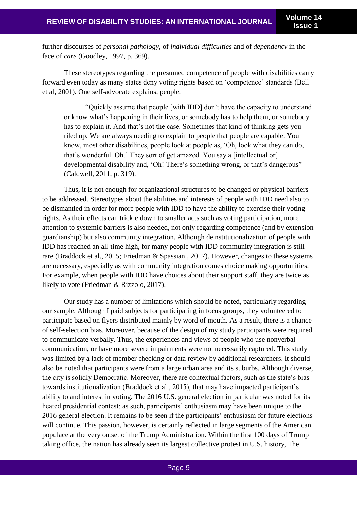further discourses of *personal pathology*, of *individual difficulties* and of *dependency* in the face of *care* (Goodley, 1997, p. 369).

These stereotypes regarding the presumed competence of people with disabilities carry forward even today as many states deny voting rights based on 'competence' standards (Bell et al, 2001). One self-advocate explains, people:

"Quickly assume that people [with IDD] don't have the capacity to understand or know what's happening in their lives, or somebody has to help them, or somebody has to explain it. And that's not the case. Sometimes that kind of thinking gets you riled up. We are always needing to explain to people that people are capable. You know, most other disabilities, people look at people as, 'Oh, look what they can do, that's wonderful. Oh.' They sort of get amazed. You say a [intellectual or] developmental disability and, 'Oh! There's something wrong, or that's dangerous" (Caldwell, 2011, p. 319).

Thus, it is not enough for organizational structures to be changed or physical barriers to be addressed. Stereotypes about the abilities and interests of people with IDD need also to be dismantled in order for more people with IDD to have the ability to exercise their voting rights. As their effects can trickle down to smaller acts such as voting participation, more attention to systemic barriers is also needed, not only regarding competence (and by extension guardianship) but also community integration. Although deinstitutionalization of people with IDD has reached an all-time high, for many people with IDD community integration is still rare (Braddock et al., 2015; Friedman & Spassiani, 2017). However, changes to these systems are necessary, especially as with community integration comes choice making opportunities. For example, when people with IDD have choices about their support staff, they are twice as likely to vote (Friedman & Rizzolo, 2017).

Our study has a number of limitations which should be noted, particularly regarding our sample. Although I paid subjects for participating in focus groups, they volunteered to participate based on flyers distributed mainly by word of mouth. As a result, there is a chance of self-selection bias. Moreover, because of the design of my study participants were required to communicate verbally. Thus, the experiences and views of people who use nonverbal communication, or have more severe impairments were not necessarily captured. This study was limited by a lack of member checking or data review by additional researchers. It should also be noted that participants were from a large urban area and its suburbs. Although diverse, the city is solidly Democratic. Moreover, there are contextual factors, such as the state's bias towards institutionalization (Braddock et al., 2015), that may have impacted participant's ability to and interest in voting. The 2016 U.S. general election in particular was noted for its heated presidential contest; as such, participants' enthusiasm may have been unique to the 2016 general election. It remains to be seen if the participants' enthusiasm for future elections will continue. This passion, however, is certainly reflected in large segments of the American populace at the very outset of the Trump Administration. Within the first 100 days of Trump taking office, the nation has already seen its largest collective protest in U.S. history, The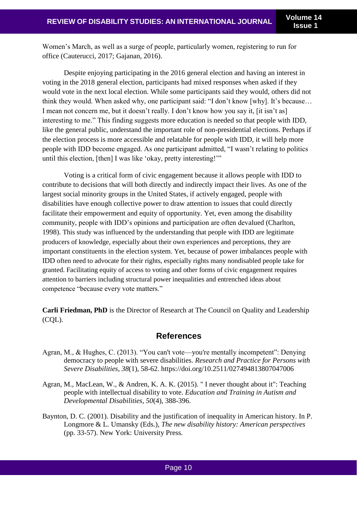Women's March, as well as a surge of people, particularly women, registering to run for office (Cauterucci, 2017; Gajanan, 2016).

Despite enjoying participating in the 2016 general election and having an interest in voting in the 2018 general election, participants had mixed responses when asked if they would vote in the next local election. While some participants said they would, others did not think they would. When asked why, one participant said: "I don't know [why]. It's because… I mean not concern me, but it doesn't really. I don't know how you say it, [it isn't as] interesting to me." This finding suggests more education is needed so that people with IDD, like the general public, understand the important role of non-presidential elections. Perhaps if the election process is more accessible and relatable for people with IDD, it will help more people with IDD become engaged. As one participant admitted, "I wasn't relating to politics until this election, [then] I was like 'okay, pretty interesting!'"

Voting is a critical form of civic engagement because it allows people with IDD to contribute to decisions that will both directly and indirectly impact their lives. As one of the largest social minority groups in the United States, if actively engaged, people with disabilities have enough collective power to draw attention to issues that could directly facilitate their empowerment and equity of opportunity. Yet, even among the disability community, people with IDD's opinions and participation are often devalued (Charlton, 1998). This study was influenced by the understanding that people with IDD are legitimate producers of knowledge, especially about their own experiences and perceptions, they are important constituents in the election system. Yet, because of power imbalances people with IDD often need to advocate for their rights, especially rights many nondisabled people take for granted. Facilitating equity of access to voting and other forms of civic engagement requires attention to barriers including structural power inequalities and entrenched ideas about competence "because every vote matters."

**Carli Friedman, PhD** is the Director of Research at The Council on Quality and Leadership (CQL).

## **References**

- Agran, M., & Hughes, C. (2013). "You can't vote—you're mentally incompetent": Denying democracy to people with severe disabilities. *Research and Practice for Persons with Severe Disabilities, 38*(1), 58-62. https://doi.org/10.2511/027494813807047006
- Agran, M., MacLean, W., & Andren, K. A. K. (2015). " I never thought about it": Teaching people with intellectual disability to vote. *Education and Training in Autism and Developmental Disabilities, 50*(4), 388-396.
- Baynton, D. C. (2001). Disability and the justification of inequality in American history. In P. Longmore & L. Umansky (Eds.), *The new disability history: American perspectives* (pp. 33-57). New York: University Press.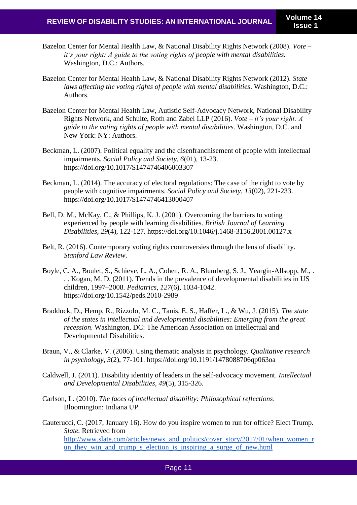- Bazelon Center for Mental Health Law, & National Disability Rights Network (2008). *Vote – it's your right: A guide to the voting rights of people with mental disabilities.* Washington, D.C.: Authors.
- Bazelon Center for Mental Health Law, & National Disability Rights Network (2012). *State laws affecting the voting rights of people with mental disabilities*. Washington, D.C.: Authors.
- Bazelon Center for Mental Health Law, Autistic Self-Advocacy Network, National Disability Rights Network, and Schulte, Roth and Zabel LLP (2016). *Vote – it's your right: A guide to the voting rights of people with mental disabilities.* Washington, D.C. and New York: NY: Authors.
- Beckman, L. (2007). Political equality and the disenfranchisement of people with intellectual impairments. *Social Policy and Society, 6*(01), 13-23. https://doi.org/10.1017/S1474746406003307
- Beckman, L. (2014). The accuracy of electoral regulations: The case of the right to vote by people with cognitive impairments. *Social Policy and Society, 13*(02), 221-233. https://doi.org/10.1017/S1474746413000407
- Bell, D. M., McKay, C., & Phillips, K. J. (2001). Overcoming the barriers to voting experienced by people with learning disabilities. *British Journal of Learning Disabilities, 29*(4), 122-127. https://doi.org/10.1046/j.1468-3156.2001.00127.x
- Belt, R. (2016). Contemporary voting rights controversies through the lens of disability. *Stanford Law Review*.
- Boyle, C. A., Boulet, S., Schieve, L. A., Cohen, R. A., Blumberg, S. J., Yeargin-Allsopp, M., . . . Kogan, M. D. (2011). Trends in the prevalence of developmental disabilities in US children, 1997–2008. *Pediatrics, 127*(6), 1034-1042. https://doi.org/10.1542/peds.2010-2989
- Braddock, D., Hemp, R., Rizzolo, M. C., Tanis, E. S., Haffer, L., & Wu, J. (2015). *The state of the states in intellectual and developmental disabilities: Emerging from the great recession*. Washington, DC: The American Association on Intellectual and Developmental Disabilities.
- Braun, V., & Clarke, V. (2006). Using thematic analysis in psychology. *Qualitative research in psychology, 3*(2), 77-101. https://doi.org/10.1191/1478088706qp063oa
- Caldwell, J. (2011). Disability identity of leaders in the self-advocacy movement. *Intellectual and Developmental Disabilities, 49*(5), 315-326.
- Carlson, L. (2010). *The faces of intellectual disability: Philosophical reflections*. Bloomington: Indiana UP.
- Cauterucci, C. (2017, January 16). How do you inspire women to run for office? Elect Trump. *Slate.* Retrieved fro[m](http://www.slate.com/articles/news_and_politics/cover_story/2017/01/when_women_run_they_win_and_trump_s_election_is_inspiring_a_surge_of_new.html) [http://www.slate.com/articles/news\\_and\\_politics/cover\\_story/2017/01/when\\_women\\_r](http://www.slate.com/articles/news_and_politics/cover_story/2017/01/when_women_run_they_win_and_trump_s_election_is_inspiring_a_surge_of_new.html) [un\\_they\\_win\\_and\\_trump\\_s\\_election\\_is\\_inspiring\\_a\\_surge\\_of\\_new.html](http://www.slate.com/articles/news_and_politics/cover_story/2017/01/when_women_run_they_win_and_trump_s_election_is_inspiring_a_surge_of_new.html)

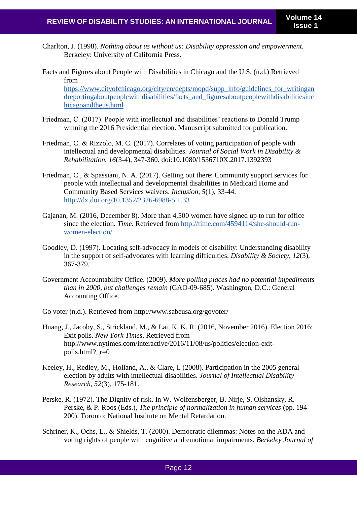- Charlton, J. (1998). *Nothing about us without us: Disability oppression and empowerment.*  Berkeley: University of California Press.
- Facts and Figures about People with Disabilities in Chicago and the U.S. (n.d.) Retrieved fro[m](https://www.cityofchicago.org/city/en/depts/mopd/supp_info/guidelines_for_writingandreportingaboutpeoplewithdisabilities/facts_and_figuresaboutpeoplewithdisabilitiesinchicagoandtheus.html) [https://www.cityofchicago.org/city/en/depts/mopd/supp\\_info/guidelines\\_for\\_writingan](https://www.cityofchicago.org/city/en/depts/mopd/supp_info/guidelines_for_writingandreportingaboutpeoplewithdisabilities/facts_and_figuresaboutpeoplewithdisabilitiesinchicagoandtheus.html) dreportingaboutpeoplewithdisabilities/facts and figuresaboutpeoplewithdisabilitiesinc [hicagoandtheus.html](https://www.cityofchicago.org/city/en/depts/mopd/supp_info/guidelines_for_writingandreportingaboutpeoplewithdisabilities/facts_and_figuresaboutpeoplewithdisabilitiesinchicagoandtheus.html)
- Friedman, C. (2017). People with intellectual and disabilities' reactions to Donald Trump winning the 2016 Presidential election. Manuscript submitted for publication.
- Friedman, C. & Rizzolo, M. C. (2017). Correlates of voting participation of people with intellectual and developmental disabilities. *Journal of Social Work in Disability & Rehabilitation. 16*(3-4), 347-360. doi:10.1080/1536710X.2017.1392393
- Friedman, C., & Spassiani, N. A. (2017). Getting out there: Community support services for people with intellectual and developmental disabilities in Medicaid Home and Community Based Services waivers. *Inclusion, 5*(1)*,* 33-44[.](http://dx.doi.org/10.1352/2326-6988-5.1.33) <http://dx.doi.org/10.1352/2326-6988-5.1.33>
- Gajanan, M. (2016, December 8). More than 4,500 women have signed up to run for office since the election. *Time*. Retrieved from [http://time.com/4594114/she-should-run](http://time.com/4594114/she-should-run-women-election/)[women-election/](http://time.com/4594114/she-should-run-women-election/)
- Goodley, D. (1997). Locating self-advocacy in models of disability: Understanding disability in the support of self-advocates with learning difficulties. *Disability & Society, 12*(3), 367-379.
- Government Accountability Office. (2009). *More polling places had no potential impediments than in 2000, but challenges remain* (GAO-09-685). Washington, D.C.: General Accounting Office.
- Go voter (n.d.). Retrieved from http://www.sabeusa.org/govoter/
- Huang, J., Jacoby, S., Strickland, M., & Lai, K. K. R. (2016, November 2016). Election 2016: Exit polls. *New York Times*. Retrieved from http://www.nytimes.com/interactive/2016/11/08/us/politics/election-exitpolls.html? $r=0$
- Keeley, H., Redley, M., Holland, A., & Clare, I. (2008). Participation in the 2005 general election by adults with intellectual disabilities. *Journal of Intellectual Disability Research, 52*(3), 175-181.
- Perske, R. (1972). The Dignity of risk. In W. Wolfensberger, B. Nirje, S. Olshansky, R. Perske, & P. Roos (Eds.), *The principle of normalization in human services* (pp. 194- 200). Toronto: National Institute on Mental Retardation.
- Schriner, K., Ochs, L., & Shields, T. (2000). Democratic dilemmas: Notes on the ADA and voting rights of people with cognitive and emotional impairments. *Berkeley Journal of*